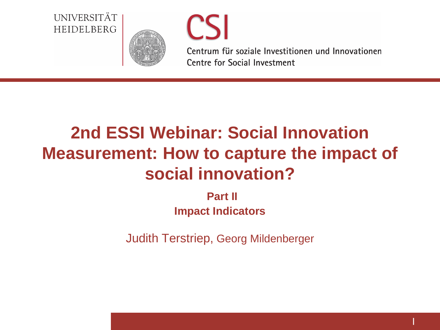#### UNIVERSITÄT HEIDELBERG





Centrum für soziale Investitionen und Innovationen **Centre for Social Investment** 

**|**

# **2nd ESSI Webinar: Social Innovation Measurement: How to capture the impact of social innovation?**

**Part II Impact Indicators**

Judith Terstriep, Georg Mildenberger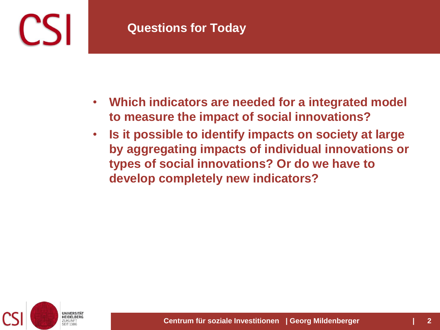

- **Which indicators are needed for a integrated model to measure the impact of social innovations?**
- **Is it possible to identify impacts on society at large by aggregating impacts of individual innovations or types of social innovations? Or do we have to develop completely new indicators?**

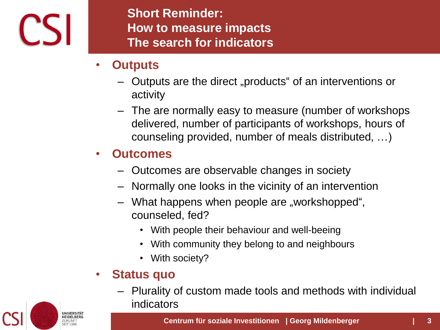

**Short Reminder: How to measure impacts The search for indicators**

- **Outputs**
	- Outputs are the direct "products" of an interventions or activity
	- The are normally easy to measure (number of workshops delivered, number of participants of workshops, hours of counseling provided, number of meals distributed, …)

## • **Outcomes**

- Outcomes are observable changes in society
- Normally one looks in the vicinity of an intervention
- What happens when people are "workshopped", counseled, fed?
	- With people their behaviour and well-beeing
	- With community they belong to and neighbours
	- With society?

#### • **Status quo**

– Plurality of custom made tools and methods with individual indicators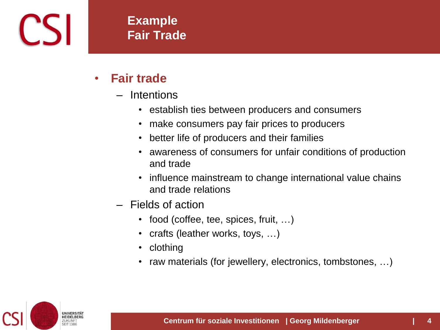

#### **Example Fair Trade**

- **Fair trade** 
	- **Intentions** 
		- establish ties between producers and consumers
		- make consumers pay fair prices to producers
		- better life of producers and their families
		- awareness of consumers for unfair conditions of production and trade
		- influence mainstream to change international value chains and trade relations
	- Fields of action
		- food (coffee, tee, spices, fruit, ...)
		- crafts (leather works, toys, ...)
		- clothing
		- raw materials (for jewellery, electronics, tombstones, ...)

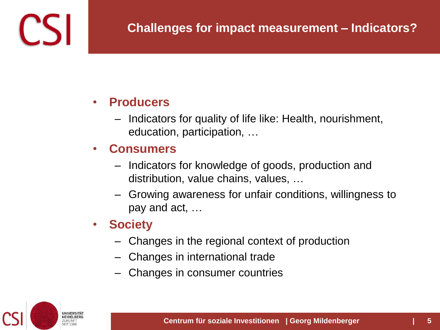

#### • **Producers**

– Indicators for quality of life like: Health, nourishment, education, participation, …

### • **Consumers**

- Indicators for knowledge of goods, production and distribution, value chains, values, …
- Growing awareness for unfair conditions, willingness to pay and act, …
- **Society**
	- Changes in the regional context of production
	- Changes in international trade
	- Changes in consumer countries

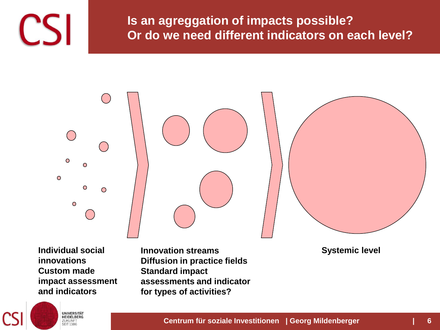

**Is an agreggation of impacts possible? Or do we need different indicators on each level?**



**Individual social innovations Custom made impact assessment and indicators**

> **UNIVERSITÄT**<br>HEIDELBERG ZUKUNFT **SEIT 1386**

**Innovation streams Diffusion in practice fields Standard impact assessments and indicator for types of activities?**

**Systemic level**